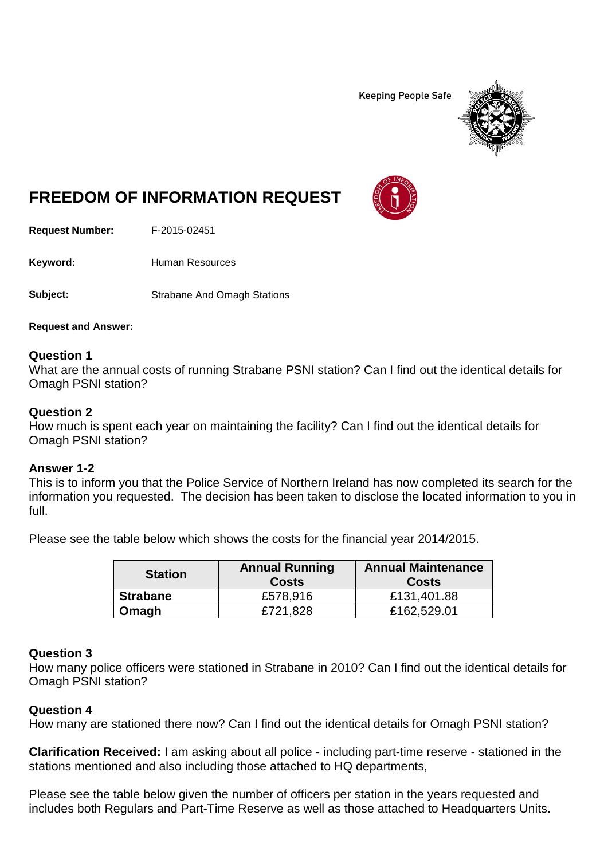**Keeping People Safe** 



# **FREEDOM OF INFORMATION REQUEST**

**Request Number:** F-2015-02451

Keyword: Human Resources

**Subject:** Strabane And Omagh Stations

**Request and Answer:**

### **Question 1**

What are the annual costs of running Strabane PSNI station? Can I find out the identical details for Omagh PSNI station?

### **Question 2**

How much is spent each year on maintaining the facility? Can I find out the identical details for Omagh PSNI station?

# **Answer 1-2**

This is to inform you that the Police Service of Northern Ireland has now completed its search for the information you requested. The decision has been taken to disclose the located information to you in full.

Please see the table below which shows the costs for the financial year 2014/2015.

| <b>Station</b>  | <b>Annual Running</b><br><b>Costs</b> | <b>Annual Maintenance</b><br><b>Costs</b> |
|-----------------|---------------------------------------|-------------------------------------------|
| <b>Strabane</b> | £578,916                              | £131,401.88                               |
| Omagh           | £721.828                              | £162,529.01                               |

# **Question 3**

How many police officers were stationed in Strabane in 2010? Can I find out the identical details for Omagh PSNI station?

# **Question 4**

How many are stationed there now? Can I find out the identical details for Omagh PSNI station?

**Clarification Received:** I am asking about all police - including part-time reserve - stationed in the stations mentioned and also including those attached to HQ departments,

Please see the table below given the number of officers per station in the years requested and includes both Regulars and Part-Time Reserve as well as those attached to Headquarters Units.